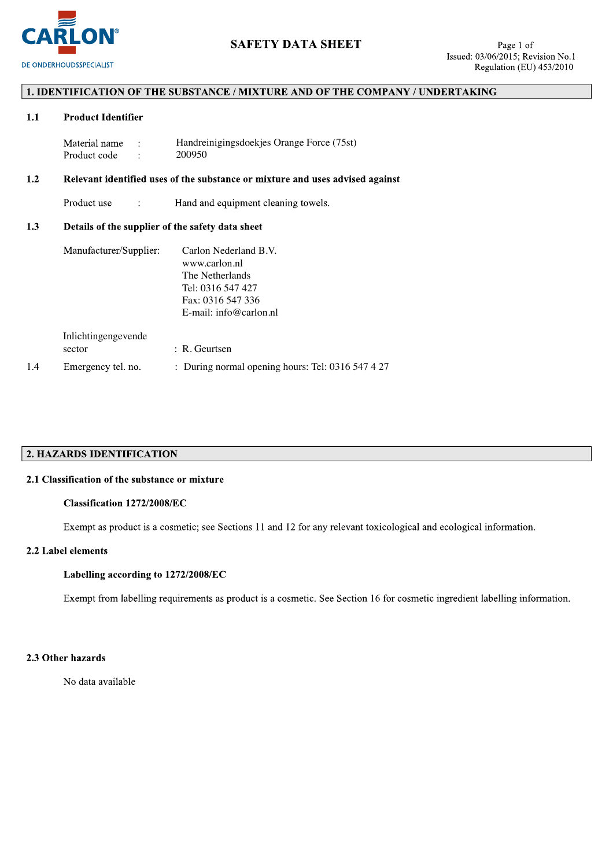

## 1. IDENTIFICATION OF THE SUBSTANCE / MIXTURE AND OF THE COMPANY / UNDERTAKING

#### $1.1$ **Product Identifier**

| Material name | Handreinigingsdoekjes Orange Force (75st) |
|---------------|-------------------------------------------|
| Product code  | 200950                                    |

#### $1.2$ Relevant identified uses of the substance or mixture and uses advised against

Product use  $\ddot{\cdot}$ Hand and equipment cleaning towels.

#### Details of the supplier of the safety data sheet  $1.3$

| Manufacturer/Supplier: | Carlon Nederland B.V.                             |
|------------------------|---------------------------------------------------|
|                        | www.carlon.nl                                     |
|                        | The Netherlands                                   |
|                        | Tel: 0316 547 427                                 |
|                        | Fax: 0316 547 336                                 |
|                        | E-mail: info@carlon.nl                            |
| Inlichtingengevende    |                                                   |
| sector                 | $: R$ . Geurtsen                                  |
| Emergency tel. no.     | : During normal opening hours: Tel: 0316 547 4 27 |

## 2. HAZARDS IDENTIFICATION

## 2.1 Classification of the substance or mixture

## Classification 1272/2008/EC

Exempt as product is a cosmetic; see Sections 11 and 12 for any relevant toxicological and ecological information.

## 2.2 Label elements

 $1.4$ 

### Labelling according to 1272/2008/EC

Exempt from labelling requirements as product is a cosmetic. See Section 16 for cosmetic ingredient labelling information.

## 2.3 Other hazards

No data available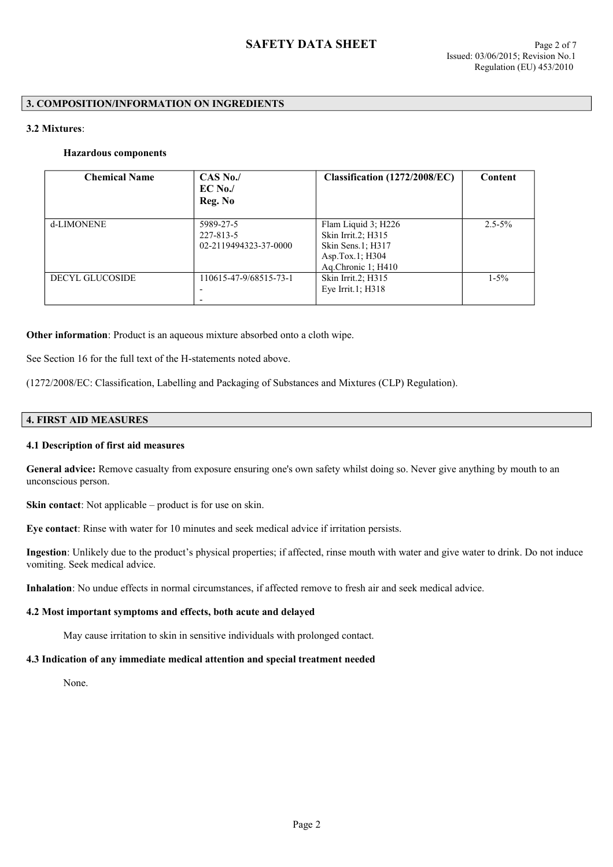## **3. COMPOSITION/INFORMATION ON INGREDIENTS**

## **3.2 Mixtures**:

## **Hazardous components**

| <b>Chemical Name</b>   | $CAS$ No./<br>$EC$ No./<br>Reg. No              | Classification (1272/2008/EC)                                                                                | Content     |
|------------------------|-------------------------------------------------|--------------------------------------------------------------------------------------------------------------|-------------|
| d-LIMONENE             | 5989-27-5<br>227-813-5<br>02-2119494323-37-0000 | Flam Liquid $3$ ; H226<br>Skin Irrit.2; H315<br>Skin Sens.1; H317<br>Asp.Tox.1; $H304$<br>Ag.Chronic 1; H410 | $2.5 - 5\%$ |
| <b>DECYL GLUCOSIDE</b> | 110615-47-9/68515-73-1                          | Skin Irrit.2; H315<br>Eye Irrit.1; H318                                                                      | $1 - 5\%$   |

**Other information**: Product is an aqueous mixture absorbed onto a cloth wipe.

See Section 16 for the full text of the H-statements noted above.

(1272/2008/EC: Classification, Labelling and Packaging of Substances and Mixtures (CLP) Regulation).

## **4. FIRST AID MEASURES**

## **4.1 Description of first aid measures**

General advice: Remove casualty from exposure ensuring one's own safety whilst doing so. Never give anything by mouth to an unconscious person.

**Skin contact**: Not applicable – product is for use on skin.

**Eye contact**: Rinse with water for 10 minutes and seek medical advice if irritation persists.

**Ingestion**: Unlikely due to the product's physical properties; if affected, rinse mouth with water and give water to drink. Do not induce vomiting. Seek medical advice.

**Inhalation**: No undue effects in normal circumstances, if affected remove to fresh air and seek medical advice.

# **4.2 Most important symptoms and effects, both acute and delayed**

May cause irritation to skin in sensitive individuals with prolonged contact.

# **4.3 Indication of any immediate medical attention and special treatment needed**

None.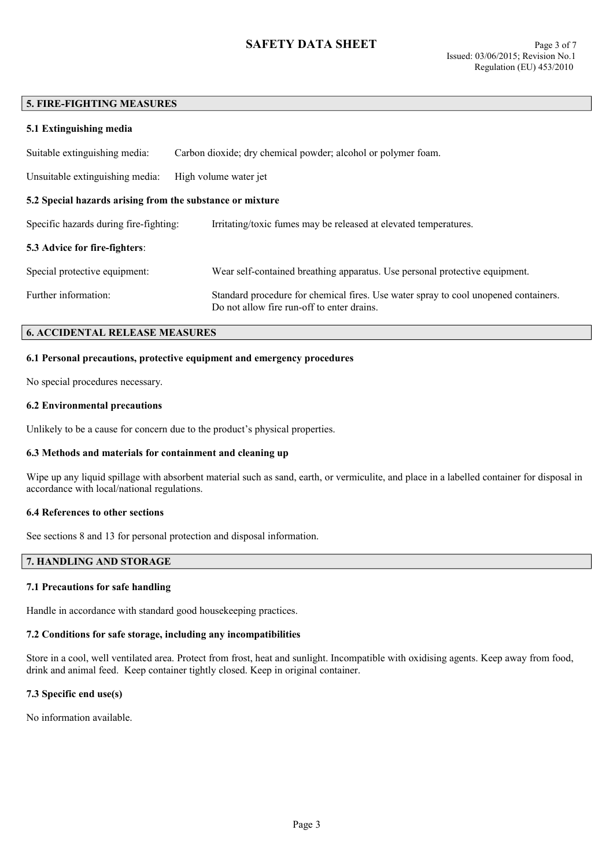# **SAFETY DATA SHEET** Page 3 of 7

#### **5. FIRE-FIGHTING MEASURES**

| 5.1 Extinguishing media                                   |                                                                                                                                   |  |  |
|-----------------------------------------------------------|-----------------------------------------------------------------------------------------------------------------------------------|--|--|
| Suitable extinguishing media:                             | Carbon dioxide; dry chemical powder; alcohol or polymer foam.                                                                     |  |  |
| Unsuitable extinguishing media:                           | High volume water jet                                                                                                             |  |  |
| 5.2 Special hazards arising from the substance or mixture |                                                                                                                                   |  |  |
| Specific hazards during fire-fighting:                    | Irritating/toxic fumes may be released at elevated temperatures.                                                                  |  |  |
| <b>5.3 Advice for fire-fighters:</b>                      |                                                                                                                                   |  |  |
| Special protective equipment:                             | Wear self-contained breathing apparatus. Use personal protective equipment.                                                       |  |  |
| Further information:                                      | Standard procedure for chemical fires. Use water spray to cool unopened containers.<br>Do not allow fire run-off to enter drains. |  |  |

## **6. ACCIDENTAL RELEASE MEASURES**

#### **6.1 Personal precautions, protective equipment and emergency procedures**

No special procedures necessary.

#### **6.2 Environmental precautions**

Unlikely to be a cause for concern due to the product's physical properties.

#### **6.3 Methods and materials for containment and cleaning up**

Wipe up any liquid spillage with absorbent material such as sand, earth, or vermiculite, and place in a labelled container for disposal in accordance with local/national regulations.

#### **6.4 References to other sections**

See sections 8 and 13 for personal protection and disposal information.

## **7. HANDLING AND STORAGE**

#### **7.1 Precautions for safe handling**

Handle in accordance with standard good housekeeping practices.

## **7.2 Conditions for safe storage, including any incompatibilities**

Store in a cool, well ventilated area. Protect from frost, heat and sunlight. Incompatible with oxidising agents. Keep away from food, drink and animal feed. Keep container tightly closed. Keep in original container.

## **7.3 Specific end use(s)**

No information available.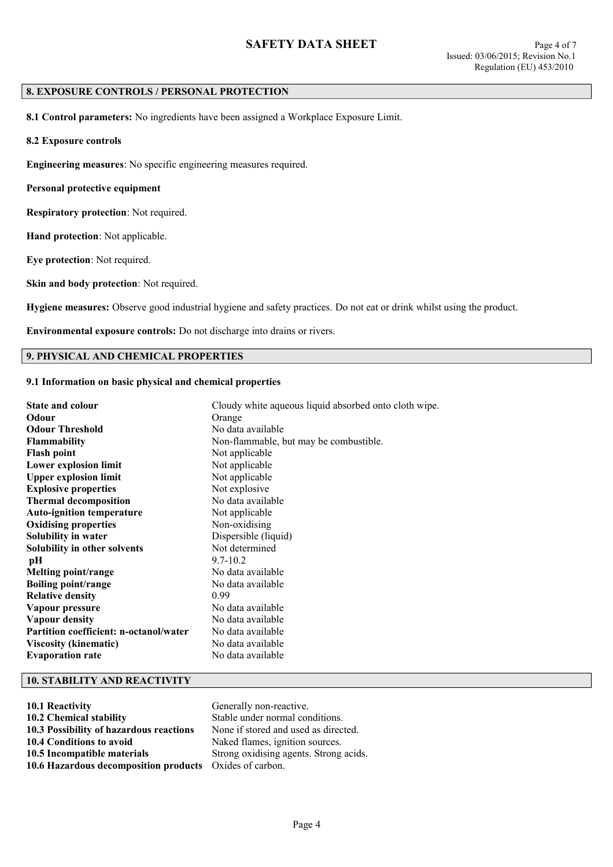## **8. EXPOSURE CONTROLS / PERSONAL PROTECTION**

**8.1 Control parameters:** No ingredients have been assigned a Workplace Exposure Limit.

**8.2 Exposure controls**

**Engineering measures**: No specific engineering measures required.

**Personal protective equipment**

**Respiratory protection**: Not required.

**Hand protection**: Not applicable.

**Eye protection**: Not required.

**Skin and body protection**: Not required.

**Hygiene measures:** Observe good industrial hygiene and safety practices. Do not eat or drink whilst using the product.

**Environmental exposure controls:** Do not discharge into drains or rivers.

## **9. PHYSICAL AND CHEMICAL PROPERTIES**

## **9.1 Information on basic physical and chemical properties**

| <b>State and colour</b>                       | Cloudy white aqueous liquid absorbed onto cloth wipe. |
|-----------------------------------------------|-------------------------------------------------------|
| Odour                                         | Orange                                                |
| <b>Odour Threshold</b>                        | No data available                                     |
| <b>Flammability</b>                           | Non-flammable, but may be combustible.                |
| <b>Flash point</b>                            | Not applicable                                        |
| Lower explosion limit                         | Not applicable                                        |
| <b>Upper explosion limit</b>                  | Not applicable                                        |
| <b>Explosive properties</b>                   | Not explosive                                         |
| <b>Thermal decomposition</b>                  | No data available                                     |
| <b>Auto-ignition temperature</b>              | Not applicable                                        |
| <b>Oxidising properties</b>                   | Non-oxidising                                         |
| Solubility in water                           | Dispersible (liquid)                                  |
| Solubility in other solvents                  | Not determined                                        |
| pН                                            | $9.7 - 10.2$                                          |
| Melting point/range                           | No data available                                     |
| <b>Boiling point/range</b>                    | No data available                                     |
| <b>Relative density</b>                       | 0.99                                                  |
| Vapour pressure                               | No data available                                     |
| Vapour density                                | No data available                                     |
| <b>Partition coefficient: n-octanol/water</b> | No data available                                     |
| <b>Viscosity (kinematic)</b>                  | No data available                                     |
| <b>Evaporation rate</b>                       | No data available                                     |

## **10. STABILITY AND REACTIVITY**

| 10.1 Reactivity                         | Generally non-reactive.                |
|-----------------------------------------|----------------------------------------|
| 10.2 Chemical stability                 | Stable under normal conditions.        |
| 10.3 Possibility of hazardous reactions | None if stored and used as directed.   |
| 10.4 Conditions to avoid                | Naked flames, ignition sources.        |
| 10.5 Incompatible materials             | Strong oxidising agents. Strong acids. |
| 10.6 Hazardous decomposition products   | Oxides of carbon.                      |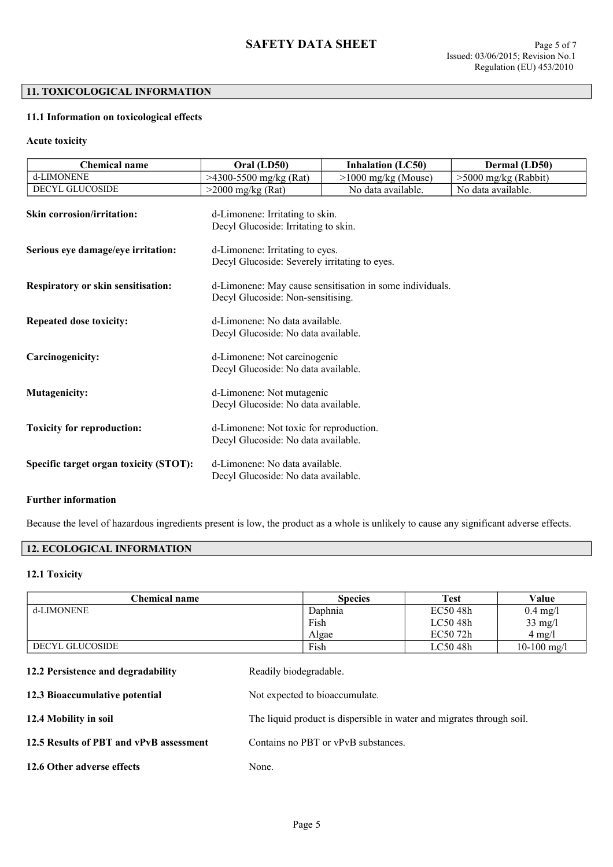## **11. TOXICOLOGICAL INFORMATION**

## **11.1 Information on toxicological effects**

## **Acute toxicity**

| <b>Chemical name</b>                      | Oral (LD50)                                                                                   | <b>Inhalation (LC50)</b> | Dermal (LD50)          |
|-------------------------------------------|-----------------------------------------------------------------------------------------------|--------------------------|------------------------|
| d-LIMONENE                                | $>4300-5500$ mg/kg (Rat)                                                                      | >1000 mg/kg (Mouse)      | $>5000$ mg/kg (Rabbit) |
| DECYL GLUCOSIDE                           | $>2000$ mg/kg (Rat)                                                                           | No data available.       | No data available.     |
| <b>Skin corrosion/irritation:</b>         | d-Limonene: Irritating to skin.<br>Decyl Glucoside: Irritating to skin.                       |                          |                        |
| Serious eye damage/eye irritation:        | d-Limonene: Irritating to eyes.<br>Decyl Glucoside: Severely irritating to eyes.              |                          |                        |
| <b>Respiratory or skin sensitisation:</b> | d-Limonene: May cause sensitisation in some individuals.<br>Decyl Glucoside: Non-sensitising. |                          |                        |
| <b>Repeated dose toxicity:</b>            | d-Limonene: No data available.<br>Decyl Glucoside: No data available.                         |                          |                        |
| Carcinogenicity:                          | d-Limonene: Not carcinogenic<br>Decyl Glucoside: No data available.                           |                          |                        |
| <b>Mutagenicity:</b>                      | d-Limonene: Not mutagenic<br>Decyl Glucoside: No data available.                              |                          |                        |
| <b>Toxicity for reproduction:</b>         | d-Limonene: Not toxic for reproduction.<br>Decyl Glucoside: No data available.                |                          |                        |
| Specific target organ toxicity (STOT):    | d-Limonene: No data available.<br>Decyl Glucoside: No data available.                         |                          |                        |
|                                           |                                                                                               |                          |                        |

## **Further information**

Because the level of hazardous ingredients present is low, the product as a whole is unlikely to cause any significant adverse effects.

# **12. ECOLOGICAL INFORMATION**

## **12.1 Toxicity**

| Chemical name                      | <b>Species</b>         | <b>Test</b> | Value             |
|------------------------------------|------------------------|-------------|-------------------|
| d-LIMONENE                         | Daphnia                | EC50 48h    | $0.4$ mg/l        |
|                                    | Fish                   | LC50 48h    | $33 \text{ mg/l}$ |
|                                    | Algae                  | EC50 72h    | $4$ mg/l          |
| DECYL GLUCOSIDE                    | Fish                   | LC50 48h    | $10-100$ mg/l     |
| 12.2 Persistence and degradability | Readily biodegradable. |             |                   |

| 12.3 Bioaccumulative potential          | Not expected to bioaccumulate.                                        |
|-----------------------------------------|-----------------------------------------------------------------------|
| 12.4 Mobility in soil                   | The liquid product is dispersible in water and migrates through soil. |
| 12.5 Results of PBT and vPvB assessment | Contains no PBT or vPvB substances.                                   |
| 12.6 Other adverse effects              | None.                                                                 |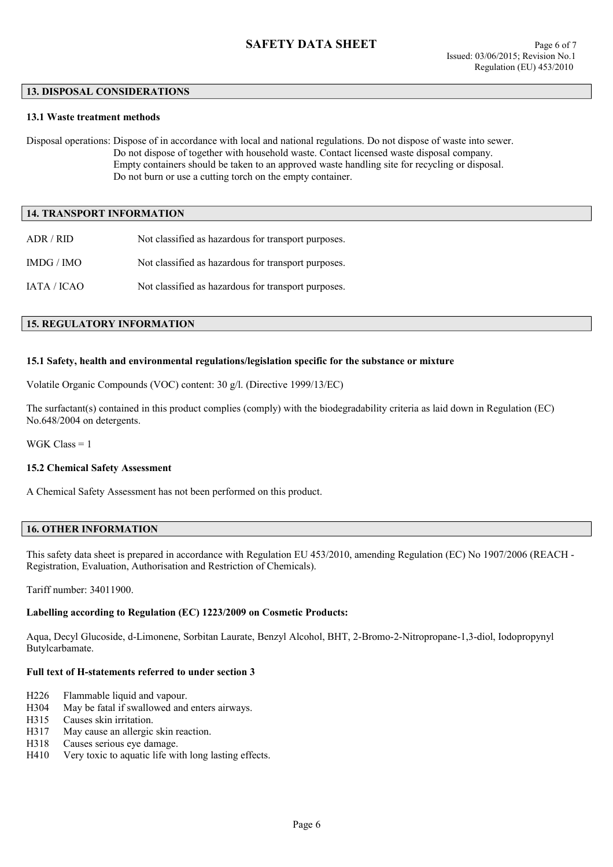#### **13. DISPOSAL CONSIDERATIONS**

#### **13.1 Waste treatment methods**

Disposal operations: Dispose of in accordance with local and national regulations. Do not dispose of waste into sewer. Do not dispose of together with household waste. Contact licensed waste disposal company. Empty containers should be taken to an approved waste handling site for recycling or disposal. Do not burn or use a cutting torch on the empty container.

#### **14. TRANSPORT INFORMATION**

| ADR/RID     | Not classified as hazardous for transport purposes. |
|-------------|-----------------------------------------------------|
| IMDG / IMO  | Not classified as hazardous for transport purposes. |
| IATA / ICAO | Not classified as hazardous for transport purposes. |

#### **15. REGULATORY INFORMATION**

#### **15.1 Safety, health and environmental regulations/legislation specific for the substance or mixture**

Volatile Organic Compounds (VOC) content: 30 g/l. (Directive 1999/13/EC)

The surfactant(s) contained in this product complies (comply) with the biodegradability criteria as laid down in Regulation (EC) No.648/2004 on detergents.

WGK Class = 1

### **15.2 Chemical Safety Assessment**

A Chemical Safety Assessment has not been performed on this product.

#### **16. OTHER INFORMATION**

This safety data sheet is prepared in accordance with Regulation EU 453/2010, amending Regulation (EC) No 1907/2006 (REACH - Registration, Evaluation, Authorisation and Restriction of Chemicals).

Tariff number: 34011900.

## **Labelling according to Regulation (EC) 1223/2009 on Cosmetic Products:**

Aqua, Decyl Glucoside, d-Limonene, Sorbitan Laurate, Benzyl Alcohol, BHT, 2-Bromo-2-Nitropropane-1,3-diol, Iodopropynyl Butylcarbamate.

## **Full text of H-statements referred to under section 3**

- H226 Flammable liquid and vapour.
- H304 May be fatal if swallowed and enters airways.
- H315 Causes skin irritation.
- H317 May cause an allergic skin reaction.
- H318 Causes serious eye damage.
- H410 Very toxic to aquatic life with long lasting effects.